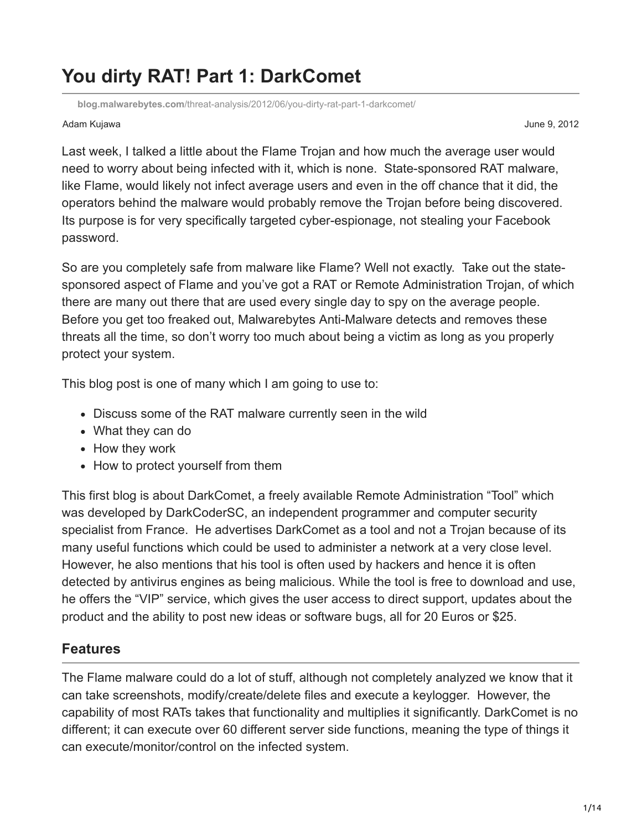# **You dirty RAT! Part 1: DarkComet**

**blog.malwarebytes.com**[/threat-analysis/2012/06/you-dirty-rat-part-1-darkcomet/](https://blog.malwarebytes.com/threat-analysis/2012/06/you-dirty-rat-part-1-darkcomet/)

#### Adam Kujawa June 9, 2012

Last week, I talked a little about the Flame Trojan and how much the average user would need to worry about being infected with it, which is none. State-sponsored RAT malware, like Flame, would likely not infect average users and even in the off chance that it did, the operators behind the malware would probably remove the Trojan before being discovered. Its purpose is for very specifically targeted cyber-espionage, not stealing your Facebook password.

So are you completely safe from malware like Flame? Well not exactly. Take out the statesponsored aspect of Flame and you've got a RAT or Remote Administration Trojan, of which there are many out there that are used every single day to spy on the average people. Before you get too freaked out, Malwarebytes Anti-Malware detects and removes these threats all the time, so don't worry too much about being a victim as long as you properly protect your system.

This blog post is one of many which I am going to use to:

- Discuss some of the RAT malware currently seen in the wild
- What they can do
- How they work
- How to protect yourself from them

This first blog is about DarkComet, a freely available Remote Administration "Tool" which was developed by DarkCoderSC, an independent programmer and computer security specialist from France. He advertises DarkComet as a tool and not a Trojan because of its many useful functions which could be used to administer a network at a very close level. However, he also mentions that his tool is often used by hackers and hence it is often detected by antivirus engines as being malicious. While the tool is free to download and use, he offers the "VIP" service, which gives the user access to direct support, updates about the product and the ability to post new ideas or software bugs, all for 20 Euros or \$25.

# **Features**

The Flame malware could do a lot of stuff, although not completely analyzed we know that it can take screenshots, modify/create/delete files and execute a keylogger. However, the capability of most RATs takes that functionality and multiplies it significantly. DarkComet is no different; it can execute over 60 different server side functions, meaning the type of things it can execute/monitor/control on the infected system.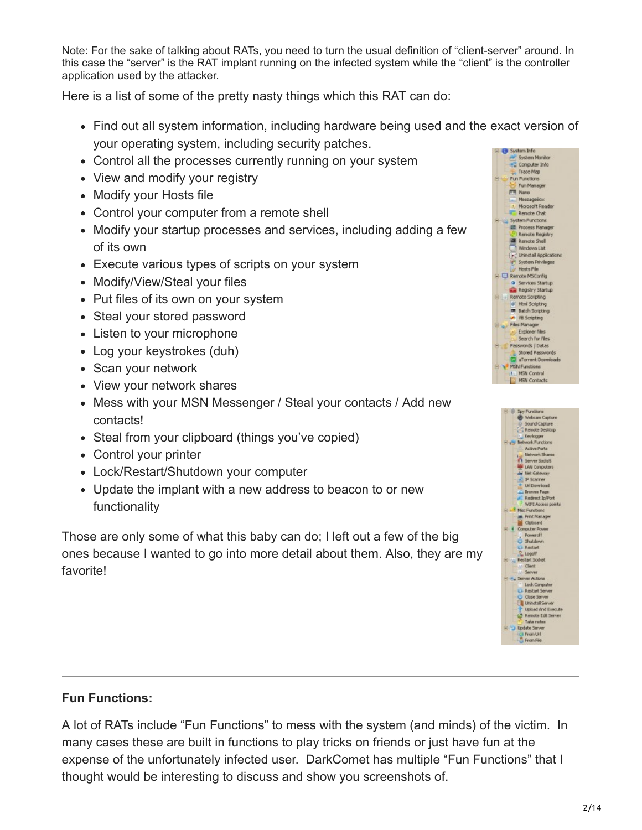Note: For the sake of talking about RATs, you need to turn the usual definition of "client-server" around. In this case the "server" is the RAT implant running on the infected system while the "client" is the controller application used by the attacker.

Here is a list of some of the pretty nasty things which this RAT can do:

- Find out all system information, including hardware being used and the exact version of your operating system, including security patches.
- Control all the processes currently running on your system
- View and modify your registry
- Modify your Hosts file
- Control your computer from a remote shell
- Modify your startup processes and services, including adding a few of its own
- Execute various types of scripts on your system
- Modify/View/Steal your files
- Put files of its own on your system
- Steal your stored password
- Listen to your microphone
- Log your keystrokes (duh)
- Scan your network
- View your network shares
- Mess with your MSN Messenger / Steal your contacts / Add new contacts!
- Steal from your clipboard (things you've copied)
- Control your printer
- Lock/Restart/Shutdown your computer
- Update the implant with a new address to beacon to or new functionality

Those are only some of what this baby can do; I left out a few of the big ones because I wanted to go into more detail about them. Also, they are my favorite!

#### **Fun Functions:**

A lot of RATs include "Fun Functions" to mess with the system (and minds) of the victim. In many cases these are built in functions to play tricks on friends or just have fun at the expense of the unfortunately infected user. DarkComet has multiple "Fun Functions" that I thought would be interesting to discuss and show you screenshots of.



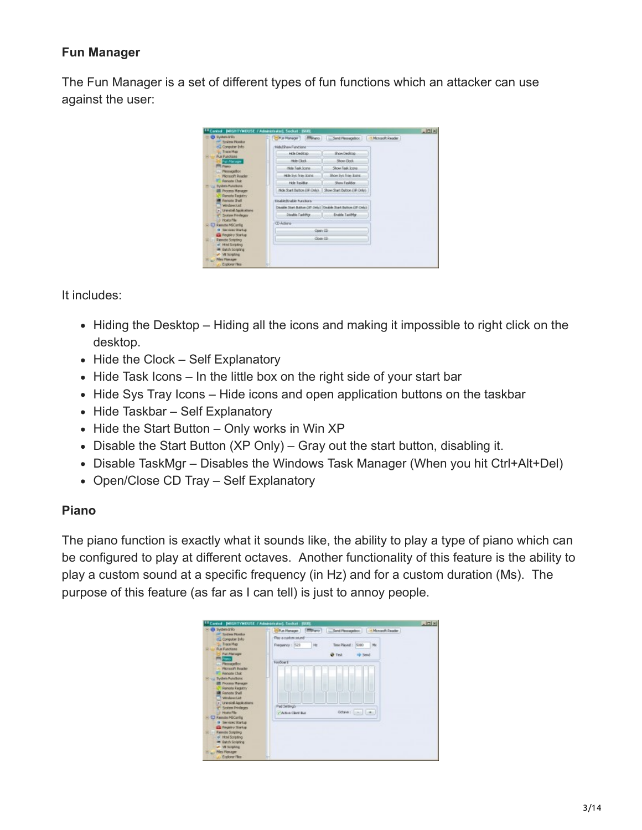# **Fun Manager**

The Fun Manager is a set of different types of fun functions which an attacker can use against the user:



It includes:

- Hiding the Desktop Hiding all the icons and making it impossible to right click on the desktop.
- $\bullet$  Hide the Clock Self Explanatory
- Hide Task Icons In the little box on the right side of your start bar
- Hide Sys Tray Icons Hide icons and open application buttons on the taskbar
- Hide Taskbar Self Explanatory
- $\bullet$  Hide the Start Button Only works in Win XP
- Disable the Start Button (XP Only) Gray out the start button, disabling it.
- Disable TaskMgr Disables the Windows Task Manager (When you hit Ctrl+Alt+Del)
- Open/Close CD Tray Self Explanatory

#### **Piano**

The piano function is exactly what it sounds like, the ability to play a type of piano which can be configured to play at different octaves. Another functionality of this feature is the ability to play a custom sound at a specific frequency (in Hz) and for a custom duration (Ms). The purpose of this feature (as far as I can tell) is just to annoy people.

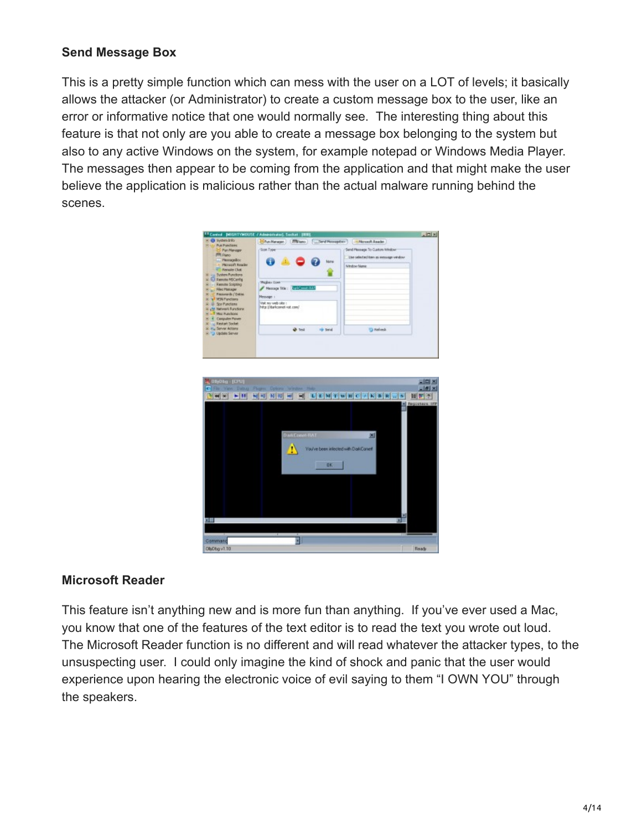#### **Send Message Box**

This is a pretty simple function which can mess with the user on a LOT of levels; it basically allows the attacker (or Administrator) to create a custom message box to the user, like an error or informative notice that one would normally see. The interesting thing about this feature is that not only are you able to create a message box belonging to the system but also to any active Windows on the system, for example notepad or Windows Media Player. The messages then appear to be coming from the application and that might make the user believe the application is malicious rather than the actual malware running behind the scenes.



#### **Microsoft Reader**

This feature isn't anything new and is more fun than anything. If you've ever used a Mac, you know that one of the features of the text editor is to read the text you wrote out loud. The Microsoft Reader function is no different and will read whatever the attacker types, to the unsuspecting user. I could only imagine the kind of shock and panic that the user would experience upon hearing the electronic voice of evil saying to them "I OWN YOU" through the speakers.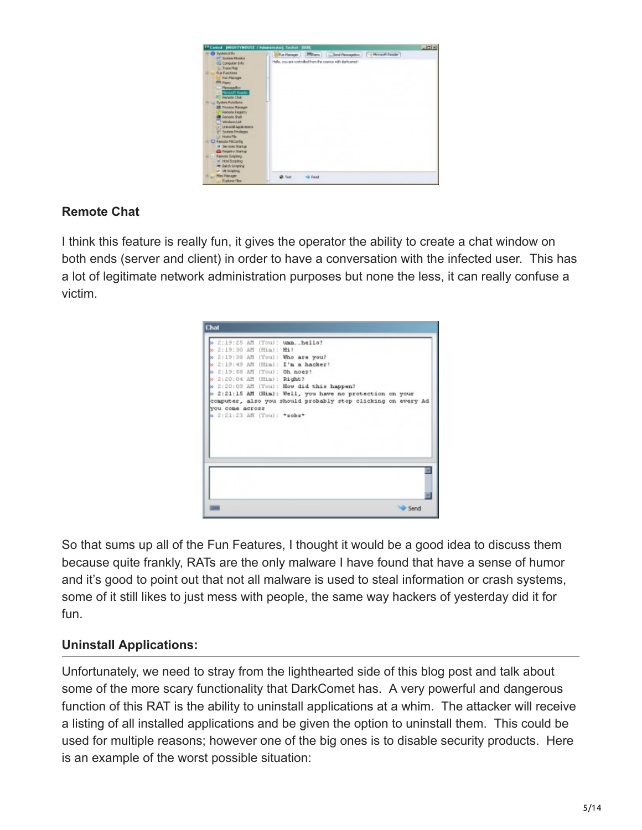| Control: DIEGHTYMOUSE / Administrator), Socket : (SGR)                                                                                                                                                                                                                                                                                                                                                                                                                                                                                      |                                                           | $-101$ M |
|---------------------------------------------------------------------------------------------------------------------------------------------------------------------------------------------------------------------------------------------------------------------------------------------------------------------------------------------------------------------------------------------------------------------------------------------------------------------------------------------------------------------------------------------|-----------------------------------------------------------|----------|
| O System this                                                                                                                                                                                                                                                                                                                                                                                                                                                                                                                               |                                                           |          |
| 447 System Mondox<br><b>BG Computer Info</b><br><b>Trace Map</b><br><b>RA Functions</b><br>Parcharage<br><b>PRO Pierro</b><br>L. PleasageBox<br>Houset Reader<br><b>IT: Renote Chik</b><br><b>25 mill Rystein Functions</b><br><b>III</b> Process Manager<br>Renote Registry<br><b>B</b> Renote Shell<br><b>Windows List</b><br>in "Unweball Applications<br>System Privileges<br><b>Edit Hosks Pile</b><br>S - ET Ramote MSCarVig<br>9 Territoi Startus<br><b>Call Registry Starker</b><br><b>Exercise Scripting</b><br>of Httel Scripting | Hells, sou are controlled from the cosmos with darkcomet! |          |
| on loatch Scripting<br>proport BY Av<br><b>Piles Plannon</b>                                                                                                                                                                                                                                                                                                                                                                                                                                                                                | - Found                                                   |          |

# **Remote Chat**

I think this feature is really fun, it gives the operator the ability to create a chat window on both ends (server and client) in order to have a conversation with the infected user. This has a lot of legitimate network administration purposes but none the less, it can really confuse a victim.

|                 |                       | 2:19:25 AM (Toul: ummhello?                                  |
|-----------------|-----------------------|--------------------------------------------------------------|
|                 | 2:19:30 AM (Hin): Hi! |                                                              |
|                 |                       | » 2:19:38 AM (You): Who are you?                             |
|                 |                       | 2:19:49 AM (Him): I'm a hacker!                              |
|                 |                       | » 2:19:58 AM (You): Oh noes!                                 |
|                 |                       | » 2:20:04 AM (Him): Right?                                   |
|                 |                       | » 2:20:09 AM (You): How did this happen?                     |
|                 |                       | » 2:21:15 AM (Him): Well, you have no protection on your     |
|                 |                       | computer, also you should probably stop clicking on every Ad |
| you come across |                       |                                                              |
|                 |                       | > 2:21:23 AM (You): *sobs*                                   |
|                 |                       |                                                              |
|                 |                       |                                                              |
|                 |                       |                                                              |
|                 |                       |                                                              |
|                 |                       |                                                              |
|                 |                       |                                                              |
|                 |                       |                                                              |
|                 |                       |                                                              |
|                 |                       |                                                              |
|                 |                       |                                                              |
|                 |                       |                                                              |

So that sums up all of the Fun Features, I thought it would be a good idea to discuss them because quite frankly, RATs are the only malware I have found that have a sense of humor and it's good to point out that not all malware is used to steal information or crash systems, some of it still likes to just mess with people, the same way hackers of yesterday did it for fun.

# **Uninstall Applications:**

Unfortunately, we need to stray from the lighthearted side of this blog post and talk about some of the more scary functionality that DarkComet has. A very powerful and dangerous function of this RAT is the ability to uninstall applications at a whim. The attacker will receive a listing of all installed applications and be given the option to uninstall them. This could be used for multiple reasons; however one of the big ones is to disable security products. Here is an example of the worst possible situation: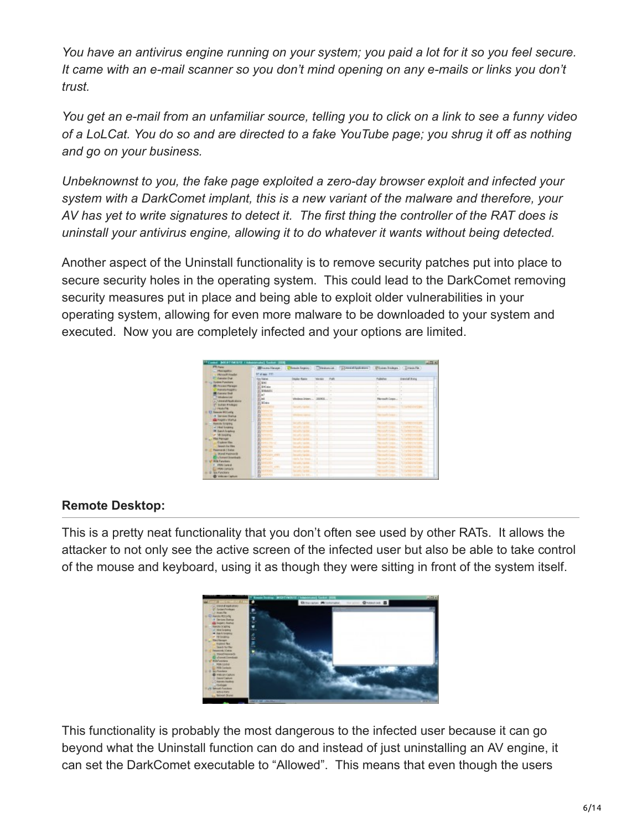*You have an antivirus engine running on your system; you paid a lot for it so you feel secure. It came with an e-mail scanner so you don't mind opening on any e-mails or links you don't trust.*

*You get an e-mail from an unfamiliar source, telling you to click on a link to see a funny video of a LoLCat. You do so and are directed to a fake YouTube page; you shrug it off as nothing and go on your business.*

*Unbeknownst to you, the fake page exploited a zero-day browser exploit and infected your system with a DarkComet implant, this is a new variant of the malware and therefore, your AV has yet to write signatures to detect it. The first thing the controller of the RAT does is uninstall your antivirus engine, allowing it to do whatever it wants without being detected.*

Another aspect of the Uninstall functionality is to remove security patches put into place to secure security holes in the operating system. This could lead to the DarkComet removing security measures put in place and being able to exploit older vulnerabilities in your operating system, allowing for even more malware to be downloaded to your system and executed. Now you are completely infected and your options are limited.

| TControl British Friday (CA Administrator), Control 1938<br><b>FR Port</b> |                                      |                         |                |                                                                                                        |                                       | $\frac{1}{2}$                              |
|----------------------------------------------------------------------------|--------------------------------------|-------------------------|----------------|--------------------------------------------------------------------------------------------------------|---------------------------------------|--------------------------------------------|
| <b>Mandellin</b>                                                           |                                      |                         |                | @Freeschinger: Chreste Engine: Chryslencial   [clinical Application   Christma Fishura     [class/file |                                       |                                            |
| Henry Principal                                                            | <b>IT at age</b> , TTI               |                         |                |                                                                                                        |                                       |                                            |
| C. Canada Chat                                                             | <b>Case Triannel</b>                 | <b>Dealer Race</b>      | <b>Vientes</b> | <b>Fully</b>                                                                                           | <b>Pulleday</b>                       | <b>Directed States</b>                     |
| <b><i>If you Today Punkers</i></b>                                         | 9.380                                | w                       | $\sim$         | $\sim$                                                                                                 | ×.                                    | u.                                         |
| <b>ER Process Manager</b>                                                  | <b>KING</b>                          | u.                      | ۰.             | ÷                                                                                                      | ×                                     | ×                                          |
| <b>RANKS RADIN'Y</b>                                                       | <b>KERAKE</b>                        | ×                       | ×              |                                                                                                        | ×.                                    |                                            |
| <b>IR Concess Stock</b>                                                    | <b>TOP</b>                           | ÷                       |                |                                                                                                        |                                       | ×                                          |
| <b>Inference Last</b>                                                      | D <sup>iet</sup>                     | Wednesday, 2000.        |                |                                                                                                        | Hermalt Corp                          |                                            |
| F. Unidal-Audustria                                                        | <b>POSSAGE</b>                       |                         |                |                                                                                                        |                                       |                                            |
| IT SIZE ENGIN<br>List Festuring                                            | <b>AND CONTROL</b>                   | family to tracket       |                |                                                                                                        |                                       | Pleasant Comp., 1 Virtual professor Color. |
| <b>EX Texas Million's</b>                                                  | B<br><b>Service</b>                  |                         |                |                                                                                                        |                                       |                                            |
| <b>G. Services Starking</b>                                                | Б<br><b>MACTION</b>                  | <b>STATISTICS</b>       |                |                                                                                                        | <b>PRO THAT CORP. C. L.</b>           |                                            |
| <b>GERMANY WARLE</b>                                                       | Б<br><b>TELEVIS</b>                  |                         |                |                                                                                                        |                                       |                                            |
| <b>James Science</b>                                                       | <b>ROSE</b>                          | Security Updat          |                |                                                                                                        | <b><i>ESSAGE CARDS</i></b>            | <b>SCENE CONTROL</b>                       |
| of Heal Griddens                                                           | <b>CONTRACTOR</b>                    | Sinusts Under           |                |                                                                                                        | <b>PEANITY CORP.</b>                  | <b>COMPANY</b>                             |
| <b>IR Eaton Engineer</b>                                                   | <b>THEFT</b>                         | becam tada              |                |                                                                                                        | <b>TRIANER PARK</b>                   | <b>Turnstein Warren</b>                    |
| <b>A 140 SHOPS</b>                                                         | <b>TITLE</b>                         | being the tracks.       |                |                                                                                                        | <b>TRANSPORT</b>                      | <b>TANTOHOLDS</b>                          |
| <b>Net Newport</b>                                                         | <b>SALL</b>                          | Includes tacher.        |                |                                                                                                        | <b>Reveal Cres</b>                    | <b>STATIONISM</b>                          |
| <b>Custom View</b>                                                         | <b>MAZIN-C</b>                       | Implicitation           |                |                                                                                                        | <b>Renault Creat</b>                  | SOFFICERS.                                 |
| <b>Genetician Mars</b>                                                     | 412, 744                             | Incorporation.          |                |                                                                                                        | <b>Thomas &amp; Contract</b>          |                                            |
| <b>Facements   Dates</b>                                                   | <b>COM</b>                           | hanger taske            |                |                                                                                                        | <b>Florida Common</b>                 | <b>SAVING PHONE</b>                        |
| <b>SouthWest</b>                                                           | <b>PODS INF</b>                      | <b>Imagin Series</b>    |                |                                                                                                        | <b><i><u>Startmand Con</u></i></b>    | <b><i><u>Vietnostek</u></i></b>            |
| <b>Clubment Insertrate</b>                                                 | <b>KOLO</b><br>b                     | debts for trend.        |                |                                                                                                        | <b>Florida Comp.</b>                  | Charitage exclusive.                       |
| <b>HOLF</b> and down                                                       | 41204<br>n                           | <b>Newport Services</b> |                |                                                                                                        | <b><i>Electronical Commercial</i></b> | <b>COLL</b>                                |
| F: PERCHAN                                                                 | <b>Particularly service</b><br>Б     | family tracks.          |                |                                                                                                        | <b>PROFILIAR CARDS</b>                | <b>CANADA CONTROLL</b>                     |
| <b>PERFORMANY</b>                                                          | <b><i><i><u>REPORTER</u></i></i></b> | famous travels          |                |                                                                                                        | <b><i>PRODUCT CARDS</i></b>           | Charles of the Control of the Con-         |
| <b>B. Sou Panchara</b>                                                     | <b>B</b> connect                     | states for me           |                |                                                                                                        | <b>Print model of collection</b>      | <b>SCALE REPORT COMPANY</b>                |
| <b>B</b> Vehicles Carlson                                                  |                                      |                         |                |                                                                                                        |                                       |                                            |

# **Remote Desktop:**

This is a pretty neat functionality that you don't often see used by other RATs. It allows the attacker to not only see the active screen of the infected user but also be able to take control of the mouse and keyboard, using it as though they were sitting in front of the system itself.



This functionality is probably the most dangerous to the infected user because it can go beyond what the Uninstall function can do and instead of just uninstalling an AV engine, it can set the DarkComet executable to "Allowed". This means that even though the users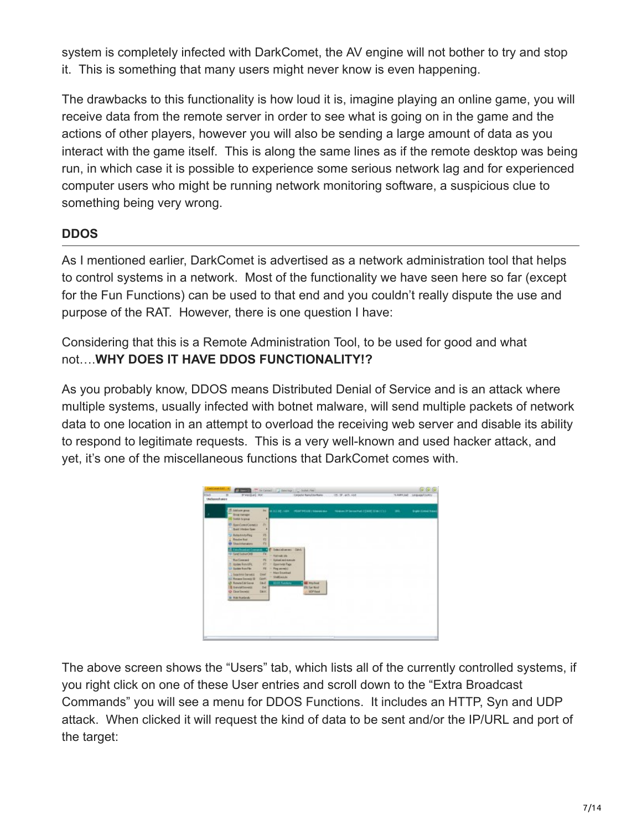system is completely infected with DarkComet, the AV engine will not bother to try and stop it. This is something that many users might never know is even happening.

The drawbacks to this functionality is how loud it is, imagine playing an online game, you will receive data from the remote server in order to see what is going on in the game and the actions of other players, however you will also be sending a large amount of data as you interact with the game itself. This is along the same lines as if the remote desktop was being run, in which case it is possible to experience some serious network lag and for experienced computer users who might be running network monitoring software, a suspicious clue to something being very wrong.

# **DDOS**

As I mentioned earlier, DarkComet is advertised as a network administration tool that helps to control systems in a network. Most of the functionality we have seen here so far (except for the Fun Functions) can be used to that end and you couldn't really dispute the use and purpose of the RAT. However, there is one question I have:

Considering that this is a Remote Administration Tool, to be used for good and what not….**WHY DOES IT HAVE DDOS FUNCTIONALITY!?**

As you probably know, DDOS means Distributed Denial of Service and is an attack where multiple systems, usually infected with botnet malware, will send multiple packets of network data to one location in an attempt to overload the receiving web server and disable its ability to respond to legitimate requests. This is a very well-known and used hacker attack, and yet, it's one of the miscellaneous functions that DarkComet comes with.



The above screen shows the "Users" tab, which lists all of the currently controlled systems, if you right click on one of these User entries and scroll down to the "Extra Broadcast Commands" you will see a menu for DDOS Functions. It includes an HTTP, Syn and UDP attack. When clicked it will request the kind of data to be sent and/or the IP/URL and port of the target: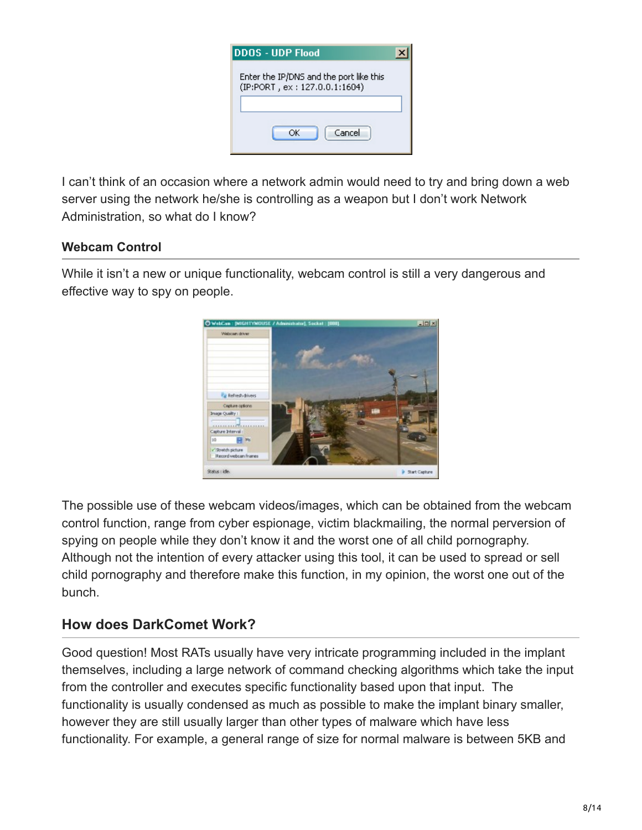| DDOS - UDP Flood                                                         |  |
|--------------------------------------------------------------------------|--|
| Enter the IP/DNS and the port like this<br>(IP:PORT, ex: 127.0.0.1:1604) |  |
| Cancel<br>OK                                                             |  |

I can't think of an occasion where a network admin would need to try and bring down a web server using the network he/she is controlling as a weapon but I don't work Network Administration, so what do I know?

#### **Webcam Control**

While it isn't a new or unique functionality, webcam control is still a very dangerous and effective way to spy on people.



The possible use of these webcam videos/images, which can be obtained from the webcam control function, range from cyber espionage, victim blackmailing, the normal perversion of spying on people while they don't know it and the worst one of all child pornography. Although not the intention of every attacker using this tool, it can be used to spread or sell child pornography and therefore make this function, in my opinion, the worst one out of the bunch.

# **How does DarkComet Work?**

Good question! Most RATs usually have very intricate programming included in the implant themselves, including a large network of command checking algorithms which take the input from the controller and executes specific functionality based upon that input. The functionality is usually condensed as much as possible to make the implant binary smaller, however they are still usually larger than other types of malware which have less functionality. For example, a general range of size for normal malware is between 5KB and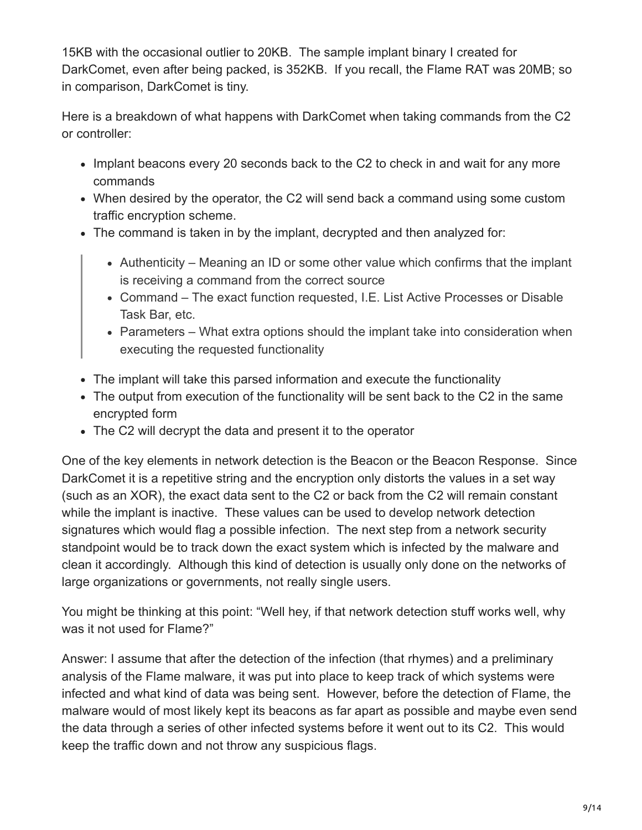15KB with the occasional outlier to 20KB. The sample implant binary I created for DarkComet, even after being packed, is 352KB. If you recall, the Flame RAT was 20MB; so in comparison, DarkComet is tiny.

Here is a breakdown of what happens with DarkComet when taking commands from the C2 or controller:

- Implant beacons every 20 seconds back to the C2 to check in and wait for any more commands
- When desired by the operator, the C2 will send back a command using some custom traffic encryption scheme.
- The command is taken in by the implant, decrypted and then analyzed for:
	- Authenticity Meaning an ID or some other value which confirms that the implant is receiving a command from the correct source
	- Command The exact function requested, I.E. List Active Processes or Disable Task Bar, etc.
	- Parameters What extra options should the implant take into consideration when executing the requested functionality
- The implant will take this parsed information and execute the functionality
- The output from execution of the functionality will be sent back to the C2 in the same encrypted form
- The C2 will decrypt the data and present it to the operator

One of the key elements in network detection is the Beacon or the Beacon Response. Since DarkComet it is a repetitive string and the encryption only distorts the values in a set way (such as an XOR), the exact data sent to the C2 or back from the C2 will remain constant while the implant is inactive. These values can be used to develop network detection signatures which would flag a possible infection. The next step from a network security standpoint would be to track down the exact system which is infected by the malware and clean it accordingly. Although this kind of detection is usually only done on the networks of large organizations or governments, not really single users.

You might be thinking at this point: "Well hey, if that network detection stuff works well, why was it not used for Flame?"

Answer: I assume that after the detection of the infection (that rhymes) and a preliminary analysis of the Flame malware, it was put into place to keep track of which systems were infected and what kind of data was being sent. However, before the detection of Flame, the malware would of most likely kept its beacons as far apart as possible and maybe even send the data through a series of other infected systems before it went out to its C2. This would keep the traffic down and not throw any suspicious flags.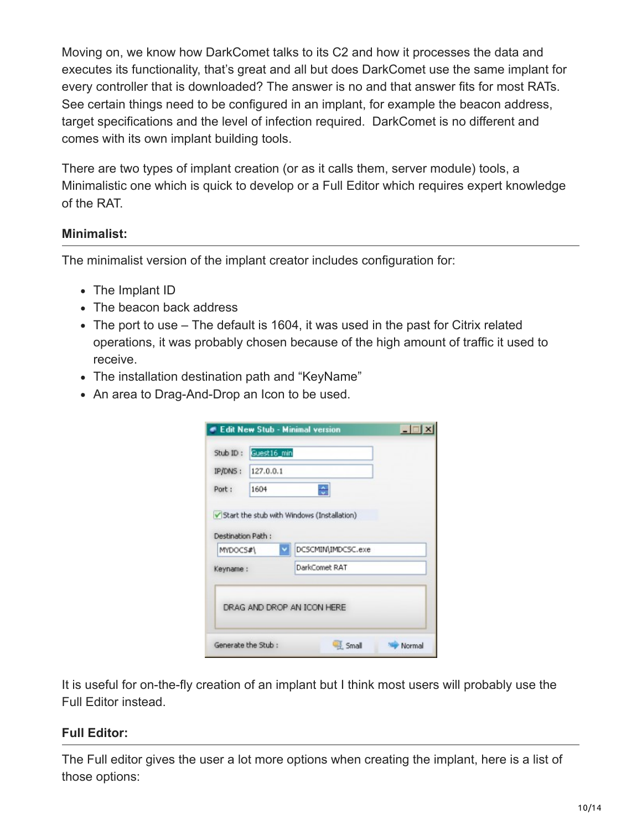Moving on, we know how DarkComet talks to its C2 and how it processes the data and executes its functionality, that's great and all but does DarkComet use the same implant for every controller that is downloaded? The answer is no and that answer fits for most RATs. See certain things need to be configured in an implant, for example the beacon address, target specifications and the level of infection required. DarkComet is no different and comes with its own implant building tools.

There are two types of implant creation (or as it calls them, server module) tools, a Minimalistic one which is quick to develop or a Full Editor which requires expert knowledge of the RAT.

# **Minimalist:**

The minimalist version of the implant creator includes configuration for:

- The Implant ID
- The beacon back address
- The port to use The default is 1604, it was used in the past for Citrix related operations, it was probably chosen because of the high amount of traffic it used to receive.
- The installation destination path and "KeyName"
- An area to Drag-And-Drop an Icon to be used.

| Stub ID:                      | Guest16 min |                                                                  |  |
|-------------------------------|-------------|------------------------------------------------------------------|--|
| IP/DNS:                       | 127.0.0.1   |                                                                  |  |
| Port:                         | 1604        |                                                                  |  |
| Destination Path:<br>MYDOC5#\ |             | Start the stub with Windows (Installation)<br>DCSCMIN\IMDCSC.exe |  |
| Keyname:                      |             | DarkComet RAT                                                    |  |
|                               |             | DRAG AND DROP AN ICON HERE                                       |  |

It is useful for on-the-fly creation of an implant but I think most users will probably use the Full Editor instead.

# **Full Editor:**

The Full editor gives the user a lot more options when creating the implant, here is a list of those options: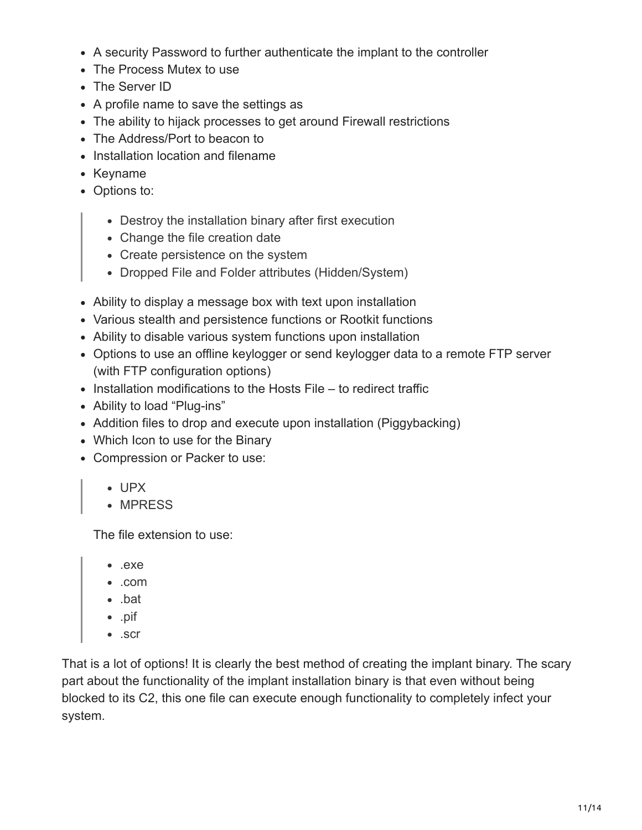- A security Password to further authenticate the implant to the controller
- The Process Mutex to use
- The Server ID
- A profile name to save the settings as
- The ability to hijack processes to get around Firewall restrictions
- The Address/Port to beacon to
- Installation location and filename
- Keyname
- Options to:
	- Destroy the installation binary after first execution
	- Change the file creation date
	- Create persistence on the system
	- Dropped File and Folder attributes (Hidden/System)
- Ability to display a message box with text upon installation
- Various stealth and persistence functions or Rootkit functions
- Ability to disable various system functions upon installation
- Options to use an offline keylogger or send keylogger data to a remote FTP server (with FTP configuration options)
- $\bullet$  Installation modifications to the Hosts File to redirect traffic
- Ability to load "Plug-ins"
- Addition files to drop and execute upon installation (Piggybacking)
- Which Icon to use for the Binary
- Compression or Packer to use:
	- UPX
	- MPRESS

The file extension to use:

- .exe
- .com
- .bat
- .pif
- .scr

That is a lot of options! It is clearly the best method of creating the implant binary. The scary part about the functionality of the implant installation binary is that even without being blocked to its C2, this one file can execute enough functionality to completely infect your system.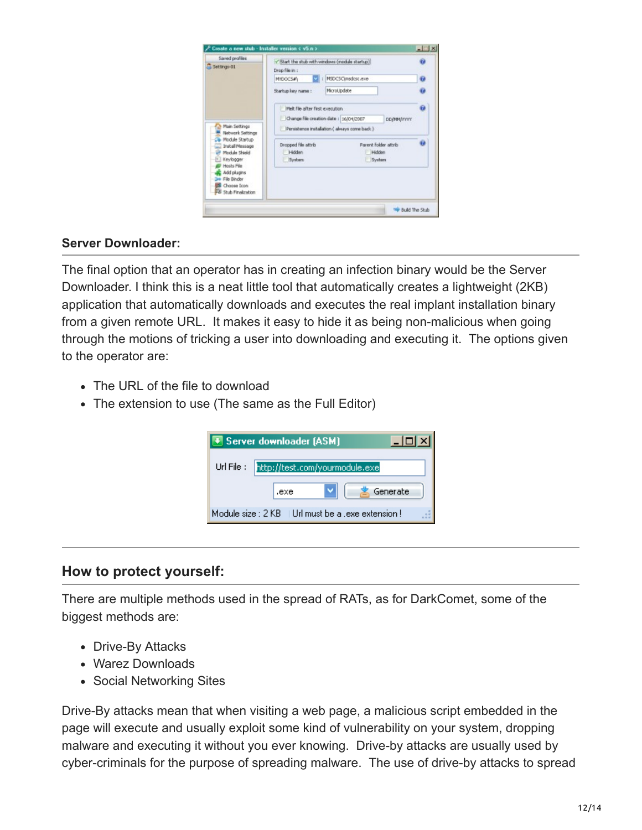| Saved profiles                                                         | V Start the stub with windows (module startup) |                   |                      |   |
|------------------------------------------------------------------------|------------------------------------------------|-------------------|----------------------|---|
| Settings-01                                                            | Drop file in :                                 |                   |                      |   |
|                                                                        | <b>MYDOCS#Y</b>                                | MSDCSC modest ave |                      | Ū |
|                                                                        | Starbup key name :                             | MicroUpdate       |                      | ø |
|                                                                        | Melt file after first execution                |                   |                      | ū |
|                                                                        | Change file creation date: 16/04/2007          |                   | <b>DOM/VYYYY</b>     |   |
| Main Settings<br>Network Settings<br>Module Starbup<br>Install Message | Persistence installation ( always come back )  |                   |                      |   |
|                                                                        | Dropped file attrib                            |                   | Parent folder attrib | ŵ |
| Module Shield                                                          | Hidden                                         |                   | Hidden               |   |
| Keylogger<br>Hosts File                                                | System                                         |                   | System               |   |
| Add plugins                                                            |                                                |                   |                      |   |
| File Binder<br>Choose Icon                                             |                                                |                   |                      |   |
| 3 Stub Finalization                                                    |                                                |                   |                      |   |
|                                                                        |                                                |                   |                      |   |

#### **Server Downloader:**

The final option that an operator has in creating an infection binary would be the Server Downloader. I think this is a neat little tool that automatically creates a lightweight (2KB) application that automatically downloads and executes the real implant installation binary from a given remote URL. It makes it easy to hide it as being non-malicious when going through the motions of tricking a user into downloading and executing it. The options given to the operator are:

- The URL of the file to download
- The extension to use (The same as the Full Editor)

| + Server downloader (ASM)                            |  |
|------------------------------------------------------|--|
| http://test.com/yourmodule.exe<br>Url File:          |  |
| Generate<br>.exe                                     |  |
| Module size : 2 KB I Url must be a , exe extension ! |  |

#### **How to protect yourself:**

There are multiple methods used in the spread of RATs, as for DarkComet, some of the biggest methods are:

- Drive-By Attacks
- Warez Downloads
- Social Networking Sites

Drive-By attacks mean that when visiting a web page, a malicious script embedded in the page will execute and usually exploit some kind of vulnerability on your system, dropping malware and executing it without you ever knowing. Drive-by attacks are usually used by cyber-criminals for the purpose of spreading malware. The use of drive-by attacks to spread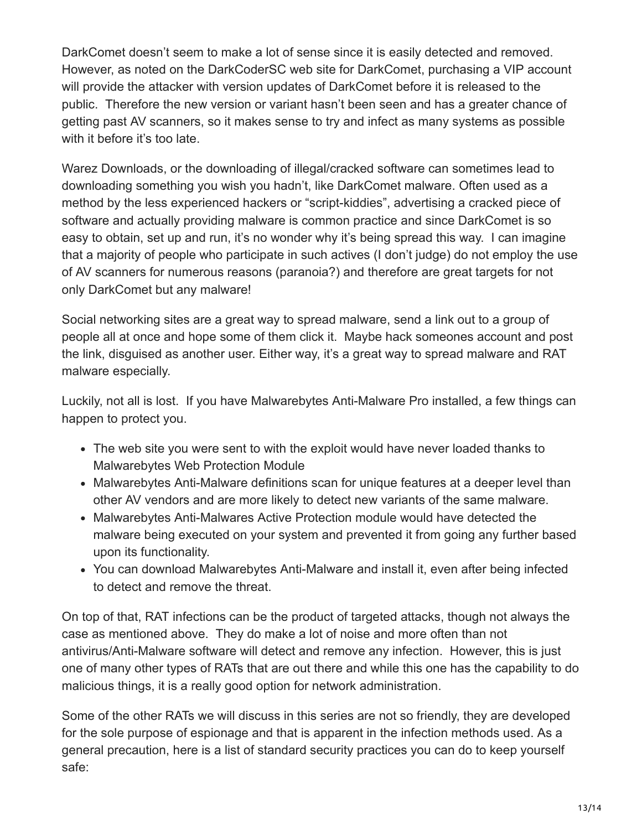DarkComet doesn't seem to make a lot of sense since it is easily detected and removed. However, as noted on the DarkCoderSC web site for DarkComet, purchasing a VIP account will provide the attacker with version updates of DarkComet before it is released to the public. Therefore the new version or variant hasn't been seen and has a greater chance of getting past AV scanners, so it makes sense to try and infect as many systems as possible with it before it's too late.

Warez Downloads, or the downloading of illegal/cracked software can sometimes lead to downloading something you wish you hadn't, like DarkComet malware. Often used as a method by the less experienced hackers or "script-kiddies", advertising a cracked piece of software and actually providing malware is common practice and since DarkComet is so easy to obtain, set up and run, it's no wonder why it's being spread this way. I can imagine that a majority of people who participate in such actives (I don't judge) do not employ the use of AV scanners for numerous reasons (paranoia?) and therefore are great targets for not only DarkComet but any malware!

Social networking sites are a great way to spread malware, send a link out to a group of people all at once and hope some of them click it. Maybe hack someones account and post the link, disguised as another user. Either way, it's a great way to spread malware and RAT malware especially.

Luckily, not all is lost. If you have Malwarebytes Anti-Malware Pro installed, a few things can happen to protect you.

- The web site you were sent to with the exploit would have never loaded thanks to Malwarebytes Web Protection Module
- Malwarebytes Anti-Malware definitions scan for unique features at a deeper level than other AV vendors and are more likely to detect new variants of the same malware.
- Malwarebytes Anti-Malwares Active Protection module would have detected the malware being executed on your system and prevented it from going any further based upon its functionality.
- You can download Malwarebytes Anti-Malware and install it, even after being infected to detect and remove the threat.

On top of that, RAT infections can be the product of targeted attacks, though not always the case as mentioned above. They do make a lot of noise and more often than not antivirus/Anti-Malware software will detect and remove any infection. However, this is just one of many other types of RATs that are out there and while this one has the capability to do malicious things, it is a really good option for network administration.

Some of the other RATs we will discuss in this series are not so friendly, they are developed for the sole purpose of espionage and that is apparent in the infection methods used. As a general precaution, here is a list of standard security practices you can do to keep yourself safe: